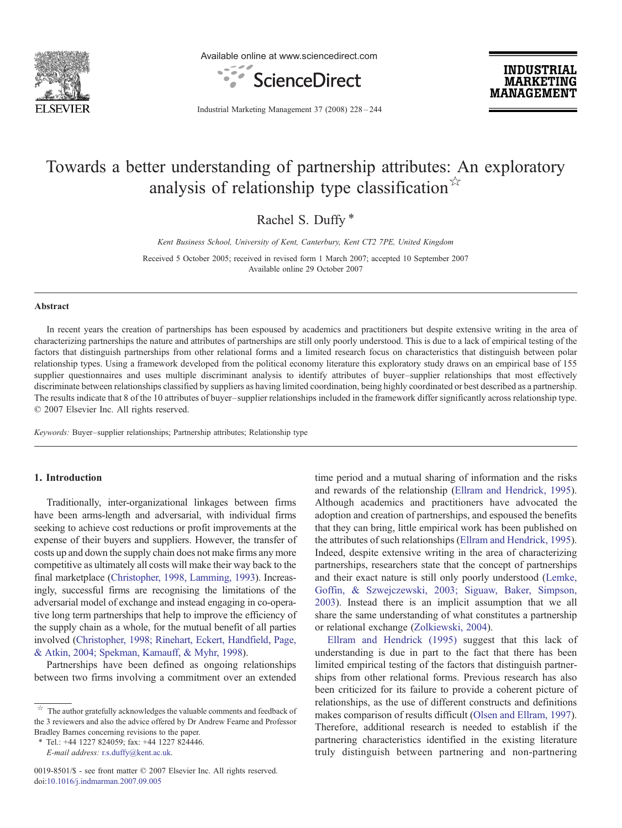

Available online at www.sciencedirect.com



**INDUSTRIAL MARKETING MANAGEMENT** 

Industrial Marketing Management 37 (2008) 228–244

## Towards a better understanding of partnership attributes: An exploratory analysis of relationship type classification<sup>☆</sup>

Rachel S. Duffy<sup>\*</sup>

Kent Business School, University of Kent, Canterbury, Kent CT2 7PE, United Kingdom

Received 5 October 2005; received in revised form 1 March 2007; accepted 10 September 2007 Available online 29 October 2007

#### Abstract

In recent years the creation of partnerships has been espoused by academics and practitioners but despite extensive writing in the area of characterizing partnerships the nature and attributes of partnerships are still only poorly understood. This is due to a lack of empirical testing of the factors that distinguish partnerships from other relational forms and a limited research focus on characteristics that distinguish between polar relationship types. Using a framework developed from the political economy literature this exploratory study draws on an empirical base of 155 supplier questionnaires and uses multiple discriminant analysis to identify attributes of buyer–supplier relationships that most effectively discriminate between relationships classified by suppliers as having limited coordination, being highly coordinated or best described as a partnership. The results indicate that 8 of the 10 attributes of buyer–supplier relationships included in the framework differ significantly across relationship type. © 2007 Elsevier Inc. All rights reserved.

Keywords: Buyer–supplier relationships; Partnership attributes; Relationship type

### 1. Introduction

Traditionally, inter-organizational linkages between firms have been arms-length and adversarial, with individual firms seeking to achieve cost reductions or profit improvements at the expense of their buyers and suppliers. However, the transfer of costs up and down the supply chain does not make firms any more competitive as ultimately all costs will make their way back to the final marketplace [\(Christopher, 1998, Lamming, 1993](#page--1-0)). Increasingly, successful firms are recognising the limitations of the adversarial model of exchange and instead engaging in co-operative long term partnerships that help to improve the efficiency of the supply chain as a whole, for the mutual benefit of all parties involved ([Christopher, 1998; Rinehart, Eckert, Handfield, Page,](#page--1-0) [& Atkin, 2004; Spekman, Kamauff, & Myhr, 1998](#page--1-0)).

Partnerships have been defined as ongoing relationships between two firms involving a commitment over an extended

⁎ Tel.: +44 1227 824059; fax: +44 1227 824446.

E-mail address: [r.s.duffy@kent.ac.uk.](mailto:r.s.duffy@kent.ac.uk)

time period and a mutual sharing of information and the risks and rewards of the relationship ([Ellram and Hendrick, 1995](#page--1-0)). Although academics and practitioners have advocated the adoption and creation of partnerships, and espoused the benefits that they can bring, little empirical work has been published on the attributes of such relationships ([Ellram and Hendrick, 1995](#page--1-0)). Indeed, despite extensive writing in the area of characterizing partnerships, researchers state that the concept of partnerships and their exact nature is still only poorly understood ([Lemke,](#page--1-0) [Goffin, & Szwejczewski, 2003; Siguaw, Baker, Simpson,](#page--1-0) [2003\)](#page--1-0). Instead there is an implicit assumption that we all share the same understanding of what constitutes a partnership or relational exchange ([Zolkiewski, 2004\)](#page--1-0).

[Ellram and Hendrick \(1995\)](#page--1-0) suggest that this lack of understanding is due in part to the fact that there has been limited empirical testing of the factors that distinguish partnerships from other relational forms. Previous research has also been criticized for its failure to provide a coherent picture of relationships, as the use of different constructs and definitions makes comparison of results difficult [\(Olsen and Ellram, 1997](#page--1-0)). Therefore, additional research is needed to establish if the partnering characteristics identified in the existing literature truly distinguish between partnering and non-partnering

 $\overrightarrow{a}$  The author gratefully acknowledges the valuable comments and feedback of the 3 reviewers and also the advice offered by Dr Andrew Fearne and Professor Bradley Barnes concerning revisions to the paper.

<sup>0019-8501/\$ -</sup> see front matter © 2007 Elsevier Inc. All rights reserved. doi:[10.1016/j.indmarman.2007.09.005](http://dx.doi.org/10.1016/j.indmarman.2007.09.005)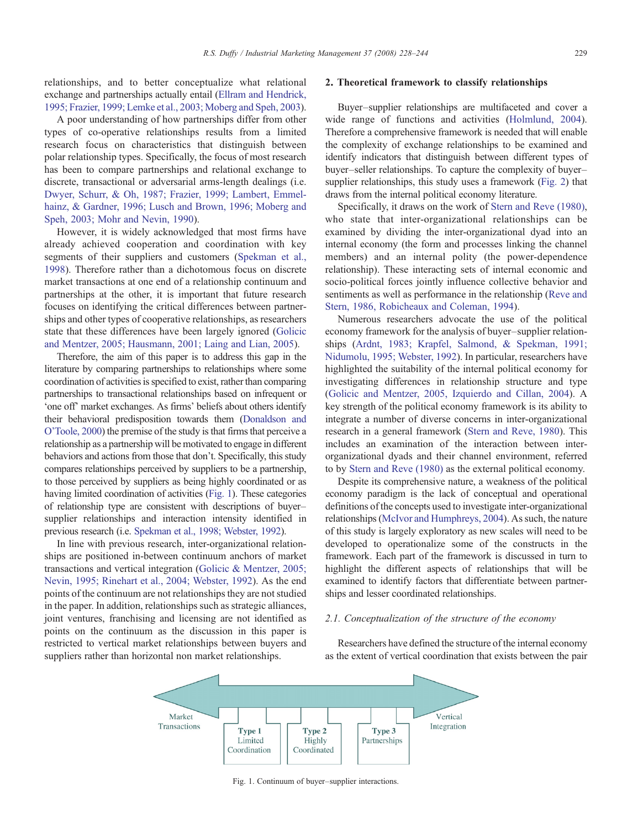relationships, and to better conceptualize what relational exchange and partnerships actually entail [\(Ellram and Hendrick,](#page--1-0) [1995; Frazier, 1999; Lemke et al., 2003; Moberg and Speh, 2003\)](#page--1-0).

A poor understanding of how partnerships differ from other types of co-operative relationships results from a limited research focus on characteristics that distinguish between polar relationship types. Specifically, the focus of most research has been to compare partnerships and relational exchange to discrete, transactional or adversarial arms-length dealings (i.e. [Dwyer, Schurr, & Oh, 1987; Frazier, 1999; Lambert, Emmel](#page--1-0)[hainz, & Gardner, 1996; Lusch and Brown, 1996; Moberg and](#page--1-0) [Speh, 2003; Mohr and Nevin, 1990\)](#page--1-0).

However, it is widely acknowledged that most firms have already achieved cooperation and coordination with key segments of their suppliers and customers ([Spekman et al.,](#page--1-0) [1998](#page--1-0)). Therefore rather than a dichotomous focus on discrete market transactions at one end of a relationship continuum and partnerships at the other, it is important that future research focuses on identifying the critical differences between partnerships and other types of cooperative relationships, as researchers state that these differences have been largely ignored ([Golicic](#page--1-0) [and Mentzer, 2005; Hausmann, 2001; Laing and Lian, 2005\)](#page--1-0).

Therefore, the aim of this paper is to address this gap in the literature by comparing partnerships to relationships where some coordination of activities is specified to exist, rather than comparing partnerships to transactional relationships based on infrequent or 'one off' market exchanges. As firms' beliefs about others identify their behavioral predisposition towards them ([Donaldson and](#page--1-0) [O'Toole, 2000](#page--1-0)) the premise of the study is that firms that perceive a relationship as a partnership will be motivated to engage in different behaviors and actions from those that don't. Specifically, this study compares relationships perceived by suppliers to be a partnership, to those perceived by suppliers as being highly coordinated or as having limited coordination of activities (Fig. 1). These categories of relationship type are consistent with descriptions of buyer– supplier relationships and interaction intensity identified in previous research (i.e. [Spekman et al., 1998; Webster, 1992](#page--1-0)).

In line with previous research, inter-organizational relationships are positioned in-between continuum anchors of market transactions and vertical integration ([Golicic & Mentzer, 2005;](#page--1-0) [Nevin, 1995; Rinehart et al., 2004; Webster, 1992\)](#page--1-0). As the end points of the continuum are not relationships they are not studied in the paper. In addition, relationships such as strategic alliances, joint ventures, franchising and licensing are not identified as points on the continuum as the discussion in this paper is restricted to vertical market relationships between buyers and suppliers rather than horizontal non market relationships.

#### 2. Theoretical framework to classify relationships

Buyer–supplier relationships are multifaceted and cover a wide range of functions and activities ([Holmlund, 2004\)](#page--1-0). Therefore a comprehensive framework is needed that will enable the complexity of exchange relationships to be examined and identify indicators that distinguish between different types of buyer–seller relationships. To capture the complexity of buyer– supplier relationships, this study uses a framework [\(Fig. 2\)](#page--1-0) that draws from the internal political economy literature.

Specifically, it draws on the work of [Stern and Reve \(1980\)](#page--1-0), who state that inter-organizational relationships can be examined by dividing the inter-organizational dyad into an internal economy (the form and processes linking the channel members) and an internal polity (the power-dependence relationship). These interacting sets of internal economic and socio-political forces jointly influence collective behavior and sentiments as well as performance in the relationship [\(Reve and](#page--1-0) [Stern, 1986, Robicheaux and Coleman, 1994](#page--1-0)).

Numerous researchers advocate the use of the political economy framework for the analysis of buyer–supplier relationships ([Ardnt, 1983; Krapfel, Salmond, & Spekman, 1991;](#page--1-0) [Nidumolu, 1995; Webster, 1992](#page--1-0)). In particular, researchers have highlighted the suitability of the internal political economy for investigating differences in relationship structure and type ([Golicic and Mentzer, 2005, Izquierdo and Cillan, 2004](#page--1-0)). A key strength of the political economy framework is its ability to integrate a number of diverse concerns in inter-organizational research in a general framework [\(Stern and Reve, 1980\)](#page--1-0). This includes an examination of the interaction between interorganizational dyads and their channel environment, referred to by [Stern and Reve \(1980\)](#page--1-0) as the external political economy.

Despite its comprehensive nature, a weakness of the political economy paradigm is the lack of conceptual and operational definitions of the concepts used to investigate inter-organizational relationships ([McIvor and Humphreys, 2004](#page--1-0)). As such, the nature of this study is largely exploratory as new scales will need to be developed to operationalize some of the constructs in the framework. Each part of the framework is discussed in turn to highlight the different aspects of relationships that will be examined to identify factors that differentiate between partnerships and lesser coordinated relationships.

### 2.1. Conceptualization of the structure of the economy

Researchers have defined the structure of the internal economy as the extent of vertical coordination that exists between the pair



Fig. 1. Continuum of buyer–supplier interactions.